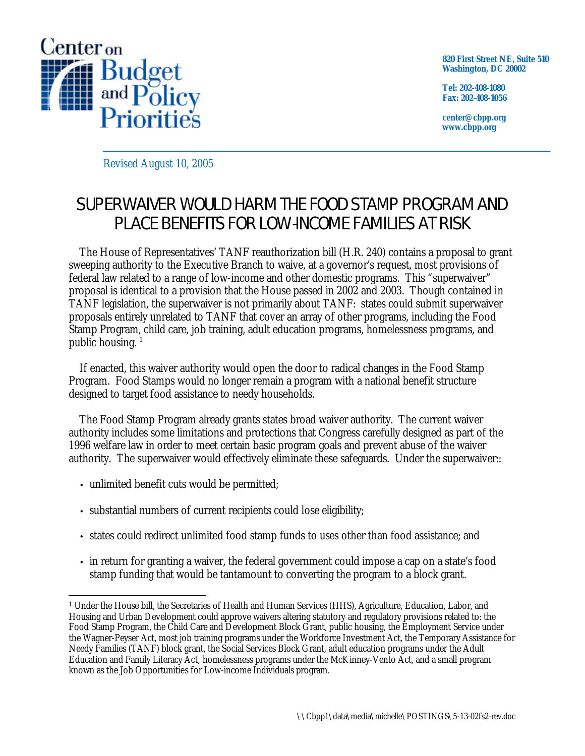

**820 First Street NE, Suite 510 Washington, DC 20002**

**Tel: 202-408-1080 Fax: 202-408-1056**

**center@cbpp.org www.cbpp.org**

Revised August 10, 2005

# SUPERWAIVER WOULD HARM THE FOOD STAMP PROGRAM AND PLACE BENEFITS FOR LOW-INCOME FAMILIES AT RISK

The House of Representatives' TANF reauthorization bill (H.R. 240) contains a proposal to grant sweeping authority to the Executive Branch to waive, at a governor's request, most provisions of federal law related to a range of low-income and other domestic programs. This "superwaiver" proposal is identical to a provision that the House passed in 2002 and 2003. Though contained in TANF legislation, the superwaiver is not primarily about TANF: states could submit superwaiver proposals entirely unrelated to TANF that cover an array of other programs, including the Food Stamp Program, child care, job training, adult education programs, homelessness programs, and public housing.<sup>1</sup>

If enacted, this waiver authority would open the door to radical changes in the Food Stamp Program. Food Stamps would no longer remain a program with a national benefit structure designed to target food assistance to needy households.

The Food Stamp Program already grants states broad waiver authority. The current waiver authority includes some limitations and protections that Congress carefully designed as part of the 1996 welfare law in order to meet certain basic program goals and prevent abuse of the waiver authority. The superwaiver would effectively eliminate these safeguards. Under the superwaiver::

- unlimited benefit cuts would be permitted;
- substantial numbers of current recipients could lose eligibility;
- states could redirect unlimited food stamp funds to uses other than food assistance; and
- in return for granting a waiver, the federal government could impose a cap on a state's food stamp funding that would be tantamount to converting the program to a block grant.

<sup>&</sup>lt;u>.</u> <sup>1</sup> Under the House bill, the Secretaries of Health and Human Services (HHS), Agriculture, Education, Labor, and Housing and Urban Development could approve waivers altering statutory and regulatory provisions related to: the Food Stamp Program, the Child Care and Development Block Grant, public housing, the Employment Service under the Wagner-Peyser Act, most job training programs under the Workforce Investment Act, the Temporary Assistance for Needy Families (TANF) block grant, the Social Services Block Grant, adult education programs under the Adult Education and Family Literacy Act, homelessness programs under the McKinney-Vento Act, and a small program known as the Job Opportunities for Low-income Individuals program.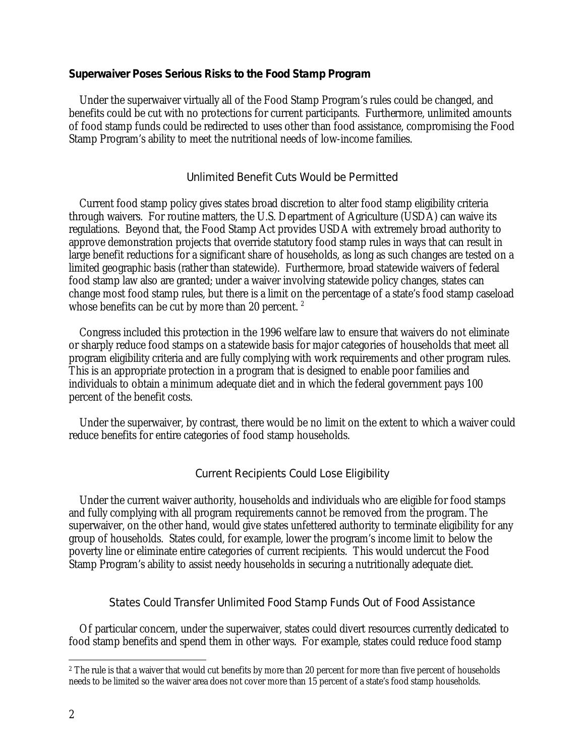## **Superwaiver Poses Serious Risks to the Food Stamp Program**

Under the superwaiver virtually all of the Food Stamp Program's rules could be changed, and benefits could be cut with no protections for current participants. Furthermore, unlimited amounts of food stamp funds could be redirected to uses other than food assistance, compromising the Food Stamp Program's ability to meet the nutritional needs of low-income families.

#### Unlimited Benefit Cuts Would be Permitted

Current food stamp policy gives states broad discretion to alter food stamp eligibility criteria through waivers. For routine matters, the U.S. Department of Agriculture (USDA) can waive its regulations. Beyond that, the Food Stamp Act provides USDA with extremely broad authority to approve demonstration projects that override statutory food stamp rules in ways that can result in large benefit reductions for a significant share of households, as long as such changes are tested on a limited geographic basis (rather than statewide). Furthermore, broad statewide waivers of federal food stamp law also are granted; under a waiver involving statewide policy changes, states can change most food stamp rules, but there is a limit on the percentage of a state's food stamp caseload whose benefits can be cut by more than 20 percent.  $2$ 

Congress included this protection in the 1996 welfare law to ensure that waivers do not eliminate or sharply reduce food stamps on a statewide basis for major categories of households that meet all program eligibility criteria and are fully complying with work requirements and other program rules. This is an appropriate protection in a program that is designed to enable poor families and individuals to obtain a minimum adequate diet and in which the federal government pays 100 percent of the benefit costs.

Under the superwaiver, by contrast, there would be no limit on the extent to which a waiver could reduce benefits for entire categories of food stamp households.

## Current Recipients Could Lose Eligibility

Under the current waiver authority, households and individuals who are eligible for food stamps and fully complying with all program requirements cannot be removed from the program. The superwaiver, on the other hand, would give states unfettered authority to terminate eligibility for any group of households. States could, for example, lower the program's income limit to below the poverty line or eliminate entire categories of current recipients. This would undercut the Food Stamp Program's ability to assist needy households in securing a nutritionally adequate diet.

#### States Could Transfer Unlimited Food Stamp Funds Out of Food Assistance

Of particular concern, under the superwaiver, states could divert resources currently dedicated to food stamp benefits and spend them in other ways. For example, states could reduce food stamp

 $\overline{a}$ 

<sup>2</sup> The rule is that a waiver that would cut benefits by more than 20 percent for more than five percent of households needs to be limited so the waiver area does not cover more than 15 percent of a state's food stamp households.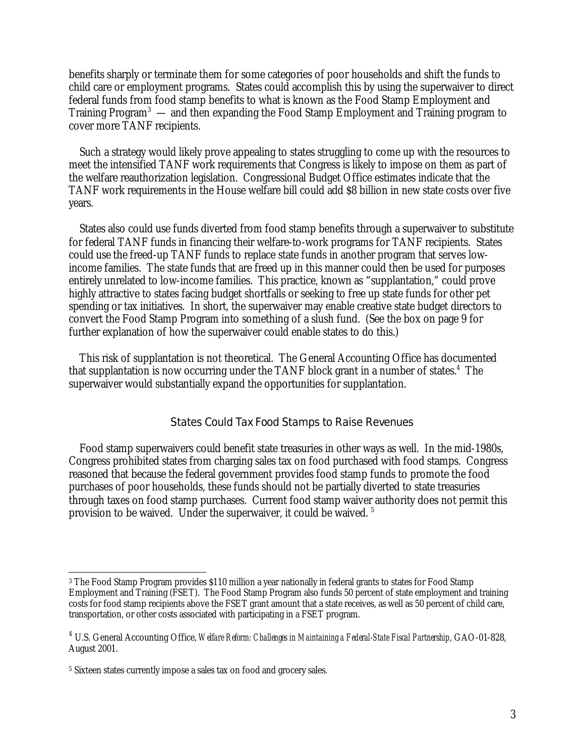benefits sharply or terminate them for some categories of poor households and shift the funds to child care or employment programs. States could accomplish this by using the superwaiver to direct federal funds from food stamp benefits to what is known as the Food Stamp Employment and Training Program<sup>3</sup> — and then expanding the Food Stamp Employment and Training program to cover more TANF recipients.

Such a strategy would likely prove appealing to states struggling to come up with the resources to meet the intensified TANF work requirements that Congress is likely to impose on them as part of the welfare reauthorization legislation. Congressional Budget Office estimates indicate that the TANF work requirements in the House welfare bill could add \$8 billion in new state costs over five years.

States also could use funds diverted from food stamp benefits through a superwaiver to substitute for federal TANF funds in financing their welfare-to-work programs for TANF recipients. States could use the freed-up TANF funds to replace state funds in another program that serves lowincome families. The state funds that are freed up in this manner could then be used for purposes entirely unrelated to low-income families. This practice, known as "supplantation," could prove highly attractive to states facing budget shortfalls or seeking to free up state funds for other pet spending or tax initiatives. In short, the superwaiver may enable creative state budget directors to convert the Food Stamp Program into something of a slush fund. (See the box on page 9 for further explanation of how the superwaiver could enable states to do this.)

This risk of supplantation is not theoretical. The General Accounting Office has documented that supplantation is now occurring under the TANF block grant in a number of states.<sup>4</sup> The superwaiver would substantially expand the opportunities for supplantation.

# States Could Tax Food Stamps to Raise Revenues

Food stamp superwaivers could benefit state treasuries in other ways as well. In the mid-1980s, Congress prohibited states from charging sales tax on food purchased with food stamps. Congress reasoned that because the federal government provides food stamp funds to promote the food purchases of poor households, these funds should not be partially diverted to state treasuries through taxes on food stamp purchases. Current food stamp waiver authority does not permit this provision to be waived. Under the superwaiver, it could be waived. <sup>5</sup>

 $\overline{a}$ 

<sup>3</sup> The Food Stamp Program provides \$110 million a year nationally in federal grants to states for Food Stamp Employment and Training (FSET). The Food Stamp Program also funds 50 percent of state employment and training costs for food stamp recipients above the FSET grant amount that a state receives, as well as 50 percent of child care, transportation, or other costs associated with participating in a FSET program.

<sup>4</sup> U.S. General Accounting Office, *Welfare Reform: Challenges in Maintaining a Federal-State Fiscal Partnership*, GAO-01-828, August 2001.

<sup>&</sup>lt;sup>5</sup> Sixteen states currently impose a sales tax on food and grocery sales.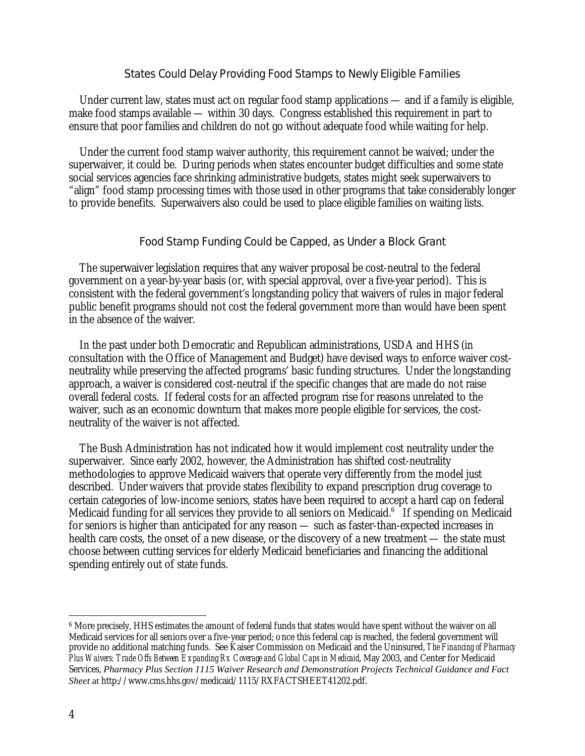## States Could Delay Providing Food Stamps to Newly Eligible Families

Under current law, states must act on regular food stamp applications — and if a family is eligible, make food stamps available — within 30 days. Congress established this requirement in part to ensure that poor families and children do not go without adequate food while waiting for help.

Under the current food stamp waiver authority, this requirement cannot be waived; under the superwaiver, it could be. During periods when states encounter budget difficulties and some state social services agencies face shrinking administrative budgets, states might seek superwaivers to "align" food stamp processing times with those used in other programs that take considerably longer to provide benefits. Superwaivers also could be used to place eligible families on waiting lists.

## Food Stamp Funding Could be Capped, as Under a Block Grant

The superwaiver legislation requires that any waiver proposal be cost-neutral to the federal government on a year-by-year basis (or, with special approval, over a five-year period). This is consistent with the federal government's longstanding policy that waivers of rules in major federal public benefit programs should not cost the federal government more than would have been spent in the absence of the waiver.

In the past under both Democratic and Republican administrations, USDA and HHS (in consultation with the Office of Management and Budget) have devised ways to enforce waiver costneutrality while preserving the affected programs' basic funding structures. Under the longstanding approach, a waiver is considered cost-neutral if the specific changes that are made do not raise overall federal costs. If federal costs for an affected program rise for reasons unrelated to the waiver, such as an economic downturn that makes more people eligible for services, the costneutrality of the waiver is not affected.

The Bush Administration has not indicated how it would implement cost neutrality under the superwaiver. Since early 2002, however, the Administration has shifted cost-neutrality methodologies to approve Medicaid waivers that operate very differently from the model just described. Under waivers that provide states flexibility to expand prescription drug coverage to certain categories of low-income seniors, states have been required to accept a hard cap on federal Medicaid funding for all services they provide to all seniors on Medicaid.<sup>6</sup> If spending on Medicaid for seniors is higher than anticipated for any reason — such as faster-than-expected increases in health care costs, the onset of a new disease, or the discovery of a new treatment — the state must choose between cutting services for elderly Medicaid beneficiaries and financing the additional spending entirely out of state funds.

<u>.</u>

<sup>6</sup> More precisely, HHS estimates the amount of federal funds that states would have spent without the waiver on all Medicaid services for all seniors over a five-year period; once this federal cap is reached, the federal government will provide no additional matching funds. See Kaiser Commission on Medicaid and the Uninsured, *The Financing of Pharmacy Plus Waivers: Trade Offs Between Expanding Rx Coverage and Global Caps in Medicaid*, May 2003, and Center for Medicaid Services, *Pharmacy Plus Section 1115 Waiver Research and Demonstration Projects Technical Guidance and Fact Sheet* at [http://www.cms.hhs.gov/medicaid/1115/RXFACTSHEET41202.pdf.](http://www.cms.hhs.gov/medicaid/1115/RXFACTSHEET41202.pdf)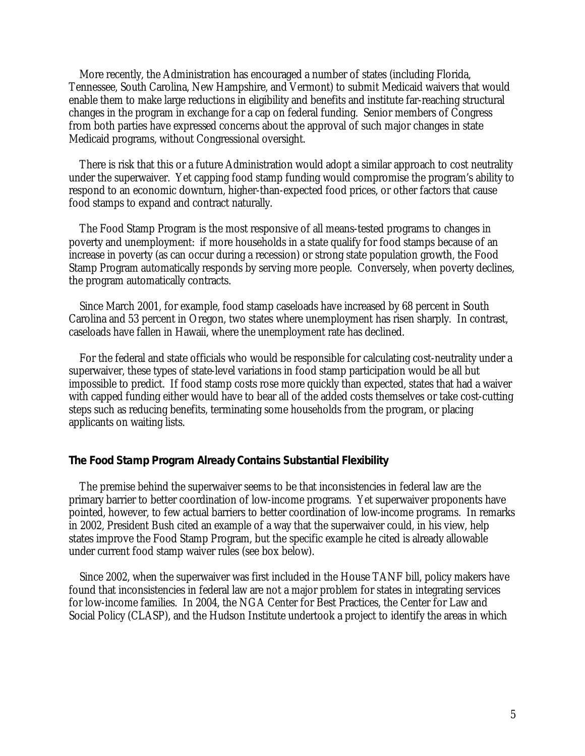More recently, the Administration has encouraged a number of states (including Florida, Tennessee, South Carolina, New Hampshire, and Vermont) to submit Medicaid waivers that would enable them to make large reductions in eligibility and benefits and institute far-reaching structural changes in the program in exchange for a cap on federal funding. Senior members of Congress from both parties have expressed concerns about the approval of such major changes in state Medicaid programs, without Congressional oversight.

There is risk that this or a future Administration would adopt a similar approach to cost neutrality under the superwaiver. Yet capping food stamp funding would compromise the program's ability to respond to an economic downturn, higher-than-expected food prices, or other factors that cause food stamps to expand and contract naturally.

The Food Stamp Program is the most responsive of all means-tested programs to changes in poverty and unemployment: if more households in a state qualify for food stamps because of an increase in poverty (as can occur during a recession) or strong state population growth, the Food Stamp Program automatically responds by serving more people. Conversely, when poverty declines, the program automatically contracts.

Since March 2001, for example, food stamp caseloads have increased by 68 percent in South Carolina and 53 percent in Oregon, two states where unemployment has risen sharply. In contrast, caseloads have fallen in Hawaii, where the unemployment rate has declined.

For the federal and state officials who would be responsible for calculating cost-neutrality under a superwaiver, these types of state-level variations in food stamp participation would be all but impossible to predict. If food stamp costs rose more quickly than expected, states that had a waiver with capped funding either would have to bear all of the added costs themselves or take cost-cutting steps such as reducing benefits, terminating some households from the program, or placing applicants on waiting lists.

#### **The Food Stamp Program Already Contains Substantial Flexibility**

The premise behind the superwaiver seems to be that inconsistencies in federal law are the primary barrier to better coordination of low-income programs. Yet superwaiver proponents have pointed, however, to few actual barriers to better coordination of low-income programs. In remarks in 2002, President Bush cited an example of a way that the superwaiver could, in his view, help states improve the Food Stamp Program, but the specific example he cited is already allowable under current food stamp waiver rules (see box below).

Since 2002, when the superwaiver was first included in the House TANF bill, policy makers have found that inconsistencies in federal law are not a major problem for states in integrating services for low-income families. In 2004, the NGA Center for Best Practices, the Center for Law and Social Policy (CLASP), and the Hudson Institute undertook a project to identify the areas in which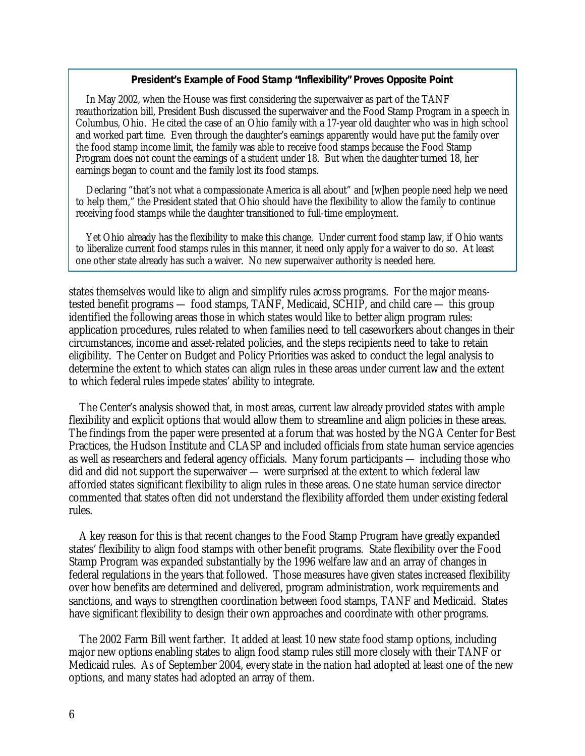### **President's Example of Food Stamp "Inflexibility" Proves Opposite Point**

In May 2002, when the House was first considering the superwaiver as part of the TANF reauthorization bill, President Bush discussed the superwaiver and the Food Stamp Program in a speech in Columbus, Ohio. He cited the case of an Ohio family with a 17-year old daughter who was in high school and worked part time. Even through the daughter's earnings apparently would have put the family over the food stamp income limit, the family was able to receive food stamps because the Food Stamp Program does not count the earnings of a student under 18. But when the daughter turned 18, her earnings began to count and the family lost its food stamps.

Declaring "that's not what a compassionate America is all about" and [w]hen people need help we need to help them," the President stated that Ohio should have the flexibility to allow the family to continue receiving food stamps while the daughter transitioned to full-time employment.

Yet Ohio already has the flexibility to make this change. Under current food stamp law, if Ohio wants to liberalize current food stamps rules in this manner, it need only apply for a waiver to do so. At least one other state already has such a waiver. No new superwaiver authority is needed here.

states themselves would like to align and simplify rules across programs. For the major meanstested benefit programs — food stamps, TANF, Medicaid, SCHIP, and child care — this group identified the following areas those in which states would like to better align program rules: application procedures, rules related to when families need to tell caseworkers about changes in their circumstances, income and asset-related policies, and the steps recipients need to take to retain eligibility. The Center on Budget and Policy Priorities was asked to conduct the legal analysis to determine the extent to which states can align rules in these areas under current law and the extent to which federal rules impede states' ability to integrate.

The Center's analysis showed that, in most areas, current law already provided states with ample flexibility and explicit options that would allow them to streamline and align policies in these areas. The findings from the paper were presented at a forum that was hosted by the NGA Center for Best Practices, the Hudson Institute and CLASP and included officials from state human service agencies as well as researchers and federal agency officials. Many forum participants — including those who did and did not support the superwaiver — were surprised at the extent to which federal law afforded states significant flexibility to align rules in these areas. One state human service director commented that states often did not understand the flexibility afforded them under existing federal rules.

A key reason for this is that recent changes to the Food Stamp Program have greatly expanded states' flexibility to align food stamps with other benefit programs. State flexibility over the Food Stamp Program was expanded substantially by the 1996 welfare law and an array of changes in federal regulations in the years that followed. Those measures have given states increased flexibility over how benefits are determined and delivered, program administration, work requirements and sanctions, and ways to strengthen coordination between food stamps, TANF and Medicaid. States have significant flexibility to design their own approaches and coordinate with other programs.

The 2002 Farm Bill went farther. It added at least 10 new state food stamp options, including major new options enabling states to align food stamp rules still more closely with their TANF or Medicaid rules. As of September 2004, every state in the nation had adopted at least one of the new options, and many states had adopted an array of them.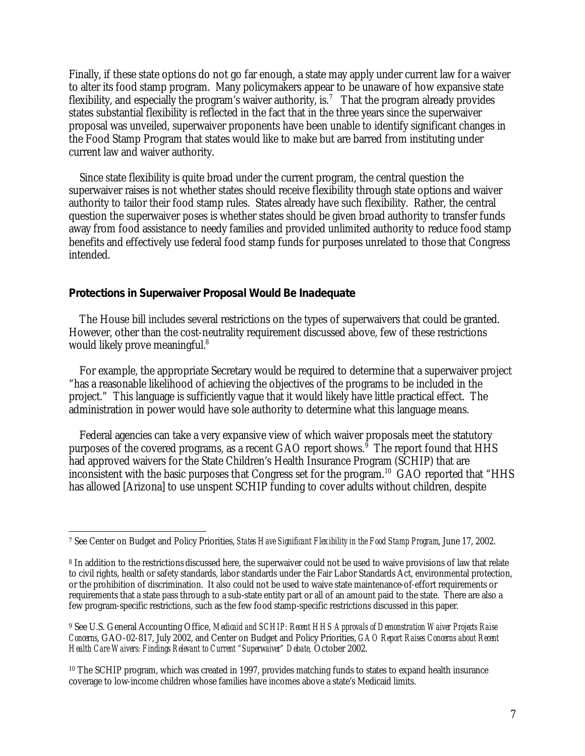Finally, if these state options do not go far enough, a state may apply under current law for a waiver to alter its food stamp program. Many policymakers appear to be unaware of how expansive state flexibility, and especially the program's waiver authority, is.<sup>7</sup> That the program already provides states substantial flexibility is reflected in the fact that in the three years since the superwaiver proposal was unveiled, superwaiver proponents have been unable to identify significant changes in the Food Stamp Program that states would like to make but are barred from instituting under current law and waiver authority.

Since state flexibility is quite broad under the current program, the central question the superwaiver raises is not whether states should receive flexibility through state options and waiver authority to tailor their food stamp rules. States already have such flexibility. Rather, the central question the superwaiver poses is whether states should be given broad authority to transfer funds away from food assistance to needy families and provided unlimited authority to reduce food stamp benefits and effectively use federal food stamp funds for purposes unrelated to those that Congress intended.

## **Protections in Superwaiver Proposal Would Be Inadequate**

The House bill includes several restrictions on the types of superwaivers that could be granted. However, other than the cost-neutrality requirement discussed above, few of these restrictions would likely prove meaningful.<sup>8</sup>

For example, the appropriate Secretary would be required to determine that a superwaiver project "has a reasonable likelihood of achieving the objectives of the programs to be included in the project." This language is sufficiently vague that it would likely have little practical effect. The administration in power would have sole authority to determine what this language means.

Federal agencies can take a very expansive view of which waiver proposals meet the statutory purposes of the covered programs, as a recent GAO report shows.<sup>§</sup> The report found that HHS had approved waivers for the State Children's Health Insurance Program (SCHIP) that are inconsistent with the basic purposes that Congress set for the program.<sup>10</sup> GAO reported that "HHS has allowed [Arizona] to use unspent SCHIP funding to cover adults without children, despite

<sup>&</sup>lt;u>.</u> 7 See Center on Budget and Policy Priorities, *States Have Significant Flexibility in the Food Stamp Program*, June 17, 2002.

<sup>8</sup> In addition to the restrictions discussed here, the superwaiver could not be used to waive provisions of law that relate to civil rights, health or safety standards, labor standards under the Fair Labor Standards Act, environmental protection, or the prohibition of discrimination. It also could not be used to waive state maintenance-of-effort requirements or requirements that a state pass through to a sub-state entity part or all of an amount paid to the state. There are also a few program-specific restrictions, such as the few food stamp-specific restrictions discussed in this paper.

<sup>9</sup> See U.S. General Accounting Office, *Medicaid and SCHIP: Recent HHS Approvals of Demonstration Waiver Projects Raise Concerns*, GAO-02-817, July 2002, and Center on Budget and Policy Priorities, *GAO Report Raises Concerns about Recent Health Care Waivers: Findings Relevant to Current "Superwaiver" Debate,* October 2002.

<sup>10</sup> The SCHIP program, which was created in 1997, provides matching funds to states to expand health insurance coverage to low-income children whose families have incomes above a state's Medicaid limits.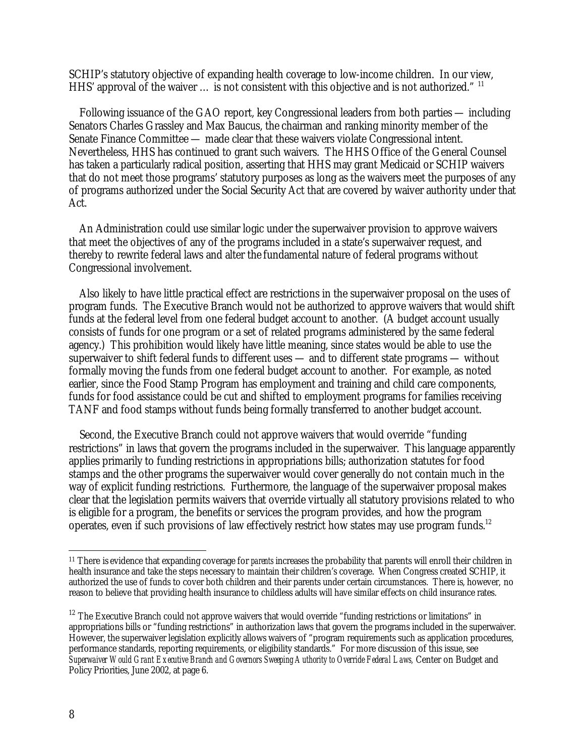SCHIP's statutory objective of expanding health coverage to low-income children. In our view, HHS' approval of the waiver ... is not consistent with this objective and is not authorized." <sup>11</sup>

Following issuance of the GAO report, key Congressional leaders from both parties — including Senators Charles Grassley and Max Baucus, the chairman and ranking minority member of the Senate Finance Committee — made clear that these waivers violate Congressional intent. Nevertheless, HHS has continued to grant such waivers. The HHS Office of the General Counsel has taken a particularly radical position, asserting that HHS may grant Medicaid or SCHIP waivers that do not meet those programs' statutory purposes as long as the waivers meet the purposes of any of programs authorized under the Social Security Act that are covered by waiver authority under that Act.

An Administration could use similar logic under the superwaiver provision to approve waivers that meet the objectives of any of the programs included in a state's superwaiver request, and thereby to rewrite federal laws and alter the fundamental nature of federal programs without Congressional involvement.

Also likely to have little practical effect are restrictions in the superwaiver proposal on the uses of program funds. The Executive Branch would not be authorized to approve waivers that would shift funds at the federal level from one federal budget account to another. (A budget account usually consists of funds for one program or a set of related programs administered by the same federal agency.) This prohibition would likely have little meaning, since states would be able to use the superwaiver to shift federal funds to different uses — and to different state programs — without formally moving the funds from one federal budget account to another. For example, as noted earlier, since the Food Stamp Program has employment and training and child care components, funds for food assistance could be cut and shifted to employment programs for families receiving TANF and food stamps without funds being formally transferred to another budget account.

Second, the Executive Branch could not approve waivers that would override "funding restrictions" in laws that govern the programs included in the superwaiver. This language apparently applies primarily to funding restrictions in appropriations bills; authorization statutes for food stamps and the other programs the superwaiver would cover generally do not contain much in the way of explicit funding restrictions. Furthermore, the language of the superwaiver proposal makes clear that the legislation permits waivers that override virtually all statutory provisions related to who is eligible for a program, the benefits or services the program provides, and how the program operates, even if such provisions of law effectively restrict how states may use program funds.<sup>12</sup>

 $\overline{a}$ 

<sup>11</sup> There is evidence that expanding coverage for *parents* increases the probability that parents will enroll their children in health insurance and take the steps necessary to maintain their children's coverage. When Congress created SCHIP, it authorized the use of funds to cover both children and their parents under certain circumstances. There is, however, no reason to believe that providing health insurance to childless adults will have similar effects on child insurance rates.

 $12$  The Executive Branch could not approve waivers that would override "funding restrictions or limitations" in appropriations bills or "funding restrictions" in authorization laws that govern the programs included in the superwaiver. However, the superwaiver legislation explicitly allows waivers of "program requirements such as application procedures, performance standards, reporting requirements, or eligibility standards." For more discussion of this issue, see Superwaiver Would Grant Executive Branch and Governors Sweeping Authority to Override Federal Laws, Center on Budget and Policy Priorities, June 2002, at page 6.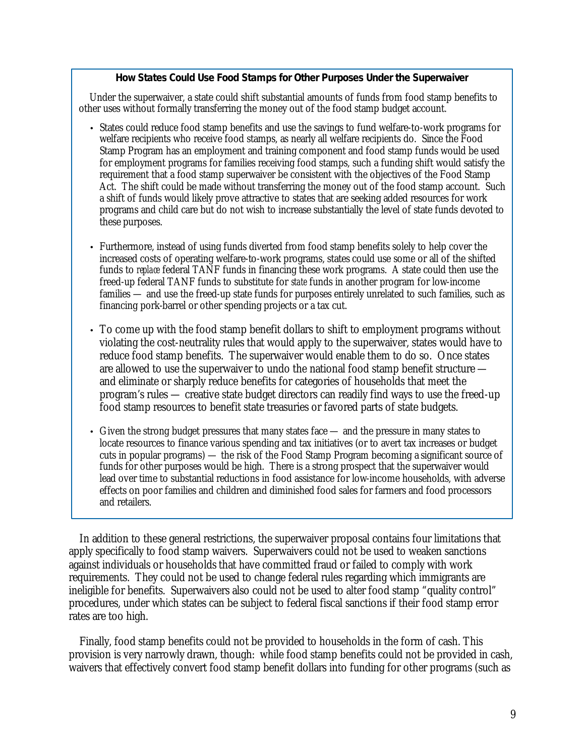### **How States Could Use Food Stamps for Other Purposes Under the Superwaiver**

Under the superwaiver, a state could shift substantial amounts of funds from food stamp benefits to other uses without formally transferring the money out of the food stamp budget account.

- States could reduce food stamp benefits and use the savings to fund welfare-to-work programs for welfare recipients who receive food stamps, as nearly all welfare recipients do. Since the Food Stamp Program has an employment and training component and food stamp funds would be used for employment programs for families receiving food stamps, such a funding shift would satisfy the requirement that a food stamp superwaiver be consistent with the objectives of the Food Stamp Act. The shift could be made without transferring the money out of the food stamp account. Such a shift of funds would likely prove attractive to states that are seeking added resources for work programs and child care but do not wish to increase substantially the level of state funds devoted to these purposes.
- Furthermore, instead of using funds diverted from food stamp benefits solely to help cover the increased costs of operating welfare-to-work programs, states could use some or all of the shifted funds to *replace* federal TANF funds in financing these work programs. A state could then use the freed-up federal TANF funds to substitute for *state* funds in another program for low-income families — and use the freed-up state funds for purposes entirely unrelated to such families, such as financing pork-barrel or other spending projects or a tax cut.
- To come up with the food stamp benefit dollars to shift to employment programs without violating the cost-neutrality rules that would apply to the superwaiver, states would have to reduce food stamp benefits. The superwaiver would enable them to do so. Once states are allowed to use the superwaiver to undo the national food stamp benefit structure and eliminate or sharply reduce benefits for categories of households that meet the program's rules — creative state budget directors can readily find ways to use the freed-up food stamp resources to benefit state treasuries or favored parts of state budgets.
- Given the strong budget pressures that many states face and the pressure in many states to locate resources to finance various spending and tax initiatives (or to avert tax increases or budget cuts in popular programs) — the risk of the Food Stamp Program becoming a significant source of funds for other purposes would be high. There is a strong prospect that the superwaiver would lead over time to substantial reductions in food assistance for low-income households, with adverse effects on poor families and children and diminished food sales for farmers and food processors and retailers.

In addition to these general restrictions, the superwaiver proposal contains four limitations that apply specifically to food stamp waivers. Superwaivers could not be used to weaken sanctions against individuals or households that have committed fraud or failed to comply with work requirements. They could not be used to change federal rules regarding which immigrants are ineligible for benefits. Superwaivers also could not be used to alter food stamp "quality control" procedures, under which states can be subject to federal fiscal sanctions if their food stamp error rates are too high.

Finally, food stamp benefits could not be provided to households in the form of cash. This provision is very narrowly drawn, though: while food stamp benefits could not be provided in cash, waivers that effectively convert food stamp benefit dollars into funding for other programs (such as